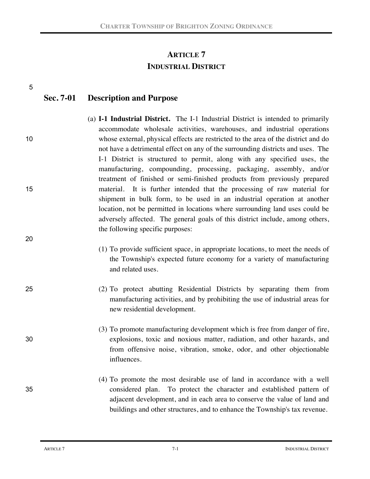# **ARTICLE 7 INDUSTRIAL DISTRICT**

|    | Sec. 7-01 | <b>Description and Purpose</b>                                                                                                                                                                                                                                                                                                                                                                                                                                                                                                                                              |
|----|-----------|-----------------------------------------------------------------------------------------------------------------------------------------------------------------------------------------------------------------------------------------------------------------------------------------------------------------------------------------------------------------------------------------------------------------------------------------------------------------------------------------------------------------------------------------------------------------------------|
| 10 |           | (a) <b>I-1 Industrial District.</b> The I-1 Industrial District is intended to primarily<br>accommodate wholesale activities, warehouses, and industrial operations<br>whose external, physical effects are restricted to the area of the district and do<br>not have a detrimental effect on any of the surrounding districts and uses. The<br>I-1 District is structured to permit, along with any specified uses, the<br>manufacturing, compounding, processing, packaging, assembly, and/or<br>treatment of finished or semi-finished products from previously prepared |
| 15 |           | material. It is further intended that the processing of raw material for<br>shipment in bulk form, to be used in an industrial operation at another<br>location, not be permitted in locations where surrounding land uses could be<br>adversely affected. The general goals of this district include, among others,<br>the following specific purposes:                                                                                                                                                                                                                    |
| 20 |           | (1) To provide sufficient space, in appropriate locations, to meet the needs of<br>the Township's expected future economy for a variety of manufacturing<br>and related uses.                                                                                                                                                                                                                                                                                                                                                                                               |
| 25 |           | (2) To protect abutting Residential Districts by separating them from<br>manufacturing activities, and by prohibiting the use of industrial areas for<br>new residential development.                                                                                                                                                                                                                                                                                                                                                                                       |
| 30 |           | (3) To promote manufacturing development which is free from danger of fire,<br>explosions, toxic and noxious matter, radiation, and other hazards, and<br>from offensive noise, vibration, smoke, odor, and other objectionable<br>influences.                                                                                                                                                                                                                                                                                                                              |
| 35 |           | (4) To promote the most desirable use of land in accordance with a well<br>considered plan. To protect the character and established pattern of<br>adjacent development, and in each area to conserve the value of land and<br>buildings and other structures, and to enhance the Township's tax revenue.                                                                                                                                                                                                                                                                   |

5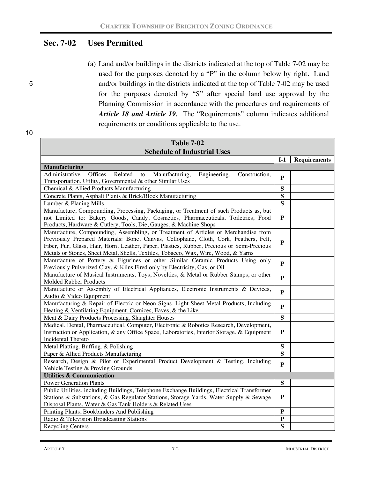# **Sec. 7-02 Uses Permitted**

- 
- (a) Land and/or buildings in the districts indicated at the top of Table 7-02 may be used for the purposes denoted by a "P" in the column below by right. Land 5 and/or buildings in the districts indicated at the top of Table 7-02 may be used for the purposes denoted by "S" after special land use approval by the Planning Commission in accordance with the procedures and requirements of *Article 18 and Article 19.* The "Requirements" column indicates additional requirements or conditions applicable to the use.

| <b>Table 7-02</b>                                                                                                                                                                   |              |                     |  |
|-------------------------------------------------------------------------------------------------------------------------------------------------------------------------------------|--------------|---------------------|--|
| <b>Schedule of Industrial Uses</b>                                                                                                                                                  |              |                     |  |
|                                                                                                                                                                                     | $I-1$        | <b>Requirements</b> |  |
| <b>Manufacturing</b>                                                                                                                                                                |              |                     |  |
| Offices<br>Related<br>Administrative<br>Manufacturing,<br>to<br>Engineering,<br>Construction,<br>Transportation, Utility, Governmental & other Similar Uses                         | P            |                     |  |
| Chemical & Allied Products Manufacturing                                                                                                                                            | S            |                     |  |
| Concrete Plants, Asphalt Plants & Brick/Block Manufacturing                                                                                                                         | S            |                     |  |
| Lumber & Planing Mills                                                                                                                                                              | S            |                     |  |
| Manufacture, Compounding, Processing, Packaging, or Treatment of such Products as, but                                                                                              |              |                     |  |
| not Limited to: Bakery Goods, Candy, Cosmetics, Pharmaceuticals, Toiletries, Food<br>Products, Hardware & Cutlery, Tools, Die, Gauges, & Machine Shops                              | P            |                     |  |
| Manufacture, Compounding, Assembling, or Treatment of Articles or Merchandise from                                                                                                  |              |                     |  |
| Previously Prepared Materials: Bone, Canvas, Cellophane, Cloth, Cork, Feathers, Felt,<br>Fiber, Fur, Glass, Hair, Horn, Leather, Paper, Plastics, Rubber, Precious or Semi-Precious | P            |                     |  |
| Metals or Stones, Sheet Metal, Shells, Textiles, Tobacco, Wax, Wire, Wood, & Yarns                                                                                                  |              |                     |  |
| Manufacture of Pottery & Figurines or other Similar Ceramic Products Using only<br>Previously Pulverized Clay, & Kilns Fired only by Electricity, Gas, or Oil                       | P            |                     |  |
| Manufacture of Musical Instruments, Toys, Novelties, & Metal or Rubber Stamps, or other                                                                                             |              |                     |  |
| Molded Rubber Products                                                                                                                                                              | P            |                     |  |
| Manufacture or Assembly of Electrical Appliances, Electronic Instruments & Devices,                                                                                                 |              |                     |  |
| Audio & Video Equipment                                                                                                                                                             | $\mathbf{p}$ |                     |  |
| Manufacturing & Repair of Electric or Neon Signs, Light Sheet Metal Products, Including                                                                                             | P            |                     |  |
| Heating & Ventilating Equipment, Cornices, Eaves, & the Like                                                                                                                        |              |                     |  |
| Meat & Dairy Products Processing, Slaughter Houses                                                                                                                                  | S            |                     |  |
| Medical, Dental, Pharmaceutical, Computer, Electronic & Robotics Research, Development,                                                                                             |              |                     |  |
| Instruction or Application, & any Office Space, Laboratories, Interior Storage, & Equipment                                                                                         | P            |                     |  |
| <b>Incidental Thereto</b>                                                                                                                                                           |              |                     |  |
| Metal Platting, Buffing, & Polishing                                                                                                                                                | S            |                     |  |
| Paper & Allied Products Manufacturing                                                                                                                                               | S            |                     |  |
| Research, Design & Pilot or Experimental Product Development & Testing, Including                                                                                                   |              |                     |  |
| Vehicle Testing & Proving Grounds                                                                                                                                                   |              |                     |  |
| <b>Utilities &amp; Communication</b>                                                                                                                                                |              |                     |  |
| <b>Power Generation Plants</b>                                                                                                                                                      | S            |                     |  |
| Public Utilities, including Buildings, Telephone Exchange Buildings, Electrical Transformer                                                                                         | P            |                     |  |
| Stations & Substations, & Gas Regulator Stations, Storage Yards, Water Supply & Sewage                                                                                              |              |                     |  |
| Disposal Plants, Water & Gas Tank Holders & Related Uses                                                                                                                            | P            |                     |  |
| Printing Plants, Bookbinders And Publishing                                                                                                                                         | ${\bf P}$    |                     |  |
| Radio & Television Broadcasting Stations                                                                                                                                            |              |                     |  |
| <b>Recycling Centers</b>                                                                                                                                                            | S            |                     |  |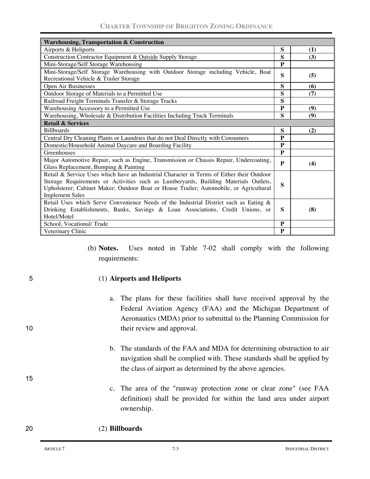| <b>Warehousing, Transportation &amp; Construction</b>                                                                                                                                                                                                                                                |              |     |
|------------------------------------------------------------------------------------------------------------------------------------------------------------------------------------------------------------------------------------------------------------------------------------------------------|--------------|-----|
| Airports & Heliports                                                                                                                                                                                                                                                                                 | S            | (1) |
| Construction Contractor Equipment & Outside Supply Storage                                                                                                                                                                                                                                           |              | (3) |
| Mini-Storage/Self Storage Warehousing                                                                                                                                                                                                                                                                |              |     |
| Mini-Storage/Self Storage Warehousing with Outdoor Storage including Vehicle, Boat<br>Recreational Vehicle & Trailer Storage                                                                                                                                                                         |              | (5) |
| Open Air Businesses                                                                                                                                                                                                                                                                                  | S            | (6) |
| Outdoor Storage of Materials to a Permitted Use                                                                                                                                                                                                                                                      | S            | (7) |
| Railroad Freight Terminals Transfer & Storage Tracks                                                                                                                                                                                                                                                 | $\mathbf{s}$ |     |
| Warehousing Accessory to a Permitted Use                                                                                                                                                                                                                                                             | P            | (9) |
| Warehousing, Wholesale & Distribution Facilities Including Truck Terminals                                                                                                                                                                                                                           | S            | (9) |
| <b>Retail &amp; Services</b>                                                                                                                                                                                                                                                                         |              |     |
| <b>Billboards</b>                                                                                                                                                                                                                                                                                    |              | (2) |
| Central Dry Cleaning Plants or Laundries that do not Deal Directly with Consumers                                                                                                                                                                                                                    |              |     |
| Domestic/Household Animal Daycare and Boarding Facility                                                                                                                                                                                                                                              |              |     |
| Greenhouses                                                                                                                                                                                                                                                                                          | $\mathbf{p}$ |     |
| Major Automotive Repair, such as Engine, Transmission or Chassis Repair, Undercoating,<br>Glass Replacement, Bumping & Painting                                                                                                                                                                      | P            | (4) |
| Retail & Service Uses which have an Industrial Character in Terms of Either their Outdoor<br>Storage Requirements or Activities such as Lumberyards, Building Materials Outlets,<br>Upholsterer; Cabinet Maker; Outdoor Boat or House Trailer; Automobile, or Agricultural<br><b>Implement Sales</b> |              |     |
| Retail Uses which Serve Convenience Needs of the Industrial District such as Eating &<br>Drinking Establishments, Banks, Savings & Loan Associations, Credit Unions, or<br>Hotel/Motel                                                                                                               | S<br>P       | (8) |
| School, Vocational/Trade                                                                                                                                                                                                                                                                             |              |     |
| Veterinary Clinic                                                                                                                                                                                                                                                                                    | P            |     |

(b) **Notes.** Uses noted in Table 7-02 shall comply with the following requirements:

5 (1) **Airports and Heliports**

- a. The plans for these facilities shall have received approval by the Federal Aviation Agency (FAA) and the Michigan Department of Aeronautics (MDA) prior to submittal to the Planning Commission for 10 their review and approval.
	- b. The standards of the FAA and MDA for determining obstruction to air navigation shall be complied with. These standards shall be applied by the class of airport as determined by the above agencies.
	- c. The area of the "runway protection zone or clear zone" (see FAA definition) shall be provided for within the land area under airport ownership.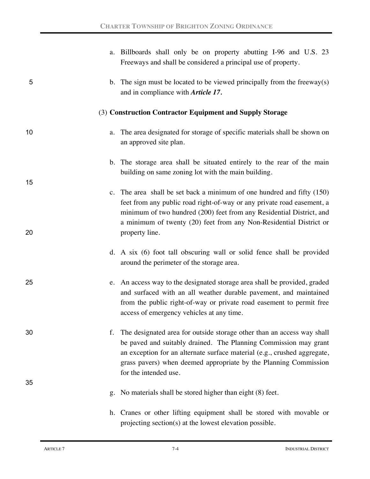|    |    | a. Billboards shall only be on property abutting I-96 and U.S. 23<br>Freeways and shall be considered a principal use of property.                                                                                                                                                                                  |
|----|----|---------------------------------------------------------------------------------------------------------------------------------------------------------------------------------------------------------------------------------------------------------------------------------------------------------------------|
| 5  |    | b. The sign must be located to be viewed principally from the freeway $(s)$<br>and in compliance with Article 17.                                                                                                                                                                                                   |
|    |    | (3) Construction Contractor Equipment and Supply Storage                                                                                                                                                                                                                                                            |
| 10 | a. | The area designated for storage of specific materials shall be shown on<br>an approved site plan.                                                                                                                                                                                                                   |
| 15 |    | b. The storage area shall be situated entirely to the rear of the main<br>building on same zoning lot with the main building.                                                                                                                                                                                       |
| 20 |    | c. The area shall be set back a minimum of one hundred and fifty $(150)$<br>feet from any public road right-of-way or any private road easement, a<br>minimum of two hundred (200) feet from any Residential District, and<br>a minimum of twenty (20) feet from any Non-Residential District or<br>property line.  |
|    |    | d. A six (6) foot tall obscuring wall or solid fence shall be provided<br>around the perimeter of the storage area.                                                                                                                                                                                                 |
| 25 |    | e. An access way to the designated storage area shall be provided, graded<br>and surfaced with an all weather durable pavement, and maintained<br>from the public right-of-way or private road easement to permit free<br>access of emergency vehicles at any time.                                                 |
| 30 | f. | The designated area for outside storage other than an access way shall<br>be paved and suitably drained. The Planning Commission may grant<br>an exception for an alternate surface material (e.g., crushed aggregate,<br>grass pavers) when deemed appropriate by the Planning Commission<br>for the intended use. |
| 35 | g. | No materials shall be stored higher than eight (8) feet.                                                                                                                                                                                                                                                            |
|    |    | h. Cranes or other lifting equipment shall be stored with movable or<br>projecting section(s) at the lowest elevation possible.                                                                                                                                                                                     |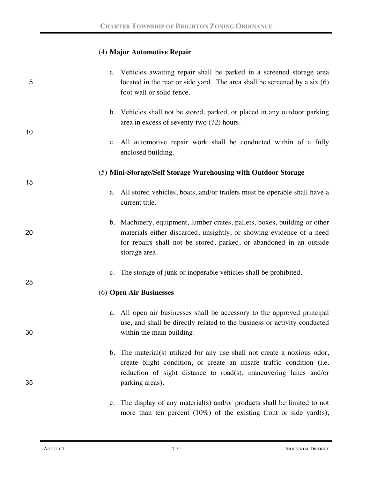## (4) **Major Automotive Repair**

| 5  | a. Vehicles awaiting repair shall be parked in a screened storage area<br>located in the rear or side yard. The area shall be screened by a six $(6)$<br>foot wall or solid fence.                                                        |
|----|-------------------------------------------------------------------------------------------------------------------------------------------------------------------------------------------------------------------------------------------|
| 10 | b. Vehicles shall not be stored, parked, or placed in any outdoor parking<br>area in excess of seventy-two (72) hours.                                                                                                                    |
|    | c. All automotive repair work shall be conducted within of a fully<br>enclosed building.                                                                                                                                                  |
| 15 | (5) Mini-Storage/Self Storage Warehousing with Outdoor Storage                                                                                                                                                                            |
|    | a. All stored vehicles, boats, and/or trailers must be operable shall have a<br>current title.                                                                                                                                            |
| 20 | b. Machinery, equipment, lumber crates, pallets, boxes, building or other<br>materials either discarded, unsightly, or showing evidence of a need<br>for repairs shall not be stored, parked, or abandoned in an outside<br>storage area. |
| 25 | c. The storage of junk or inoperable vehicles shall be prohibited.                                                                                                                                                                        |
|    | (6) Open Air Businesses                                                                                                                                                                                                                   |
| 30 | a. All open air businesses shall be accessory to the approved principal<br>use, and shall be directly related to the business or activity conducted<br>within the main building.                                                          |
| 35 | b. The material(s) utilized for any use shall not create a noxious odor,<br>create blight condition, or create an unsafe traffic condition (i.e.<br>reduction of sight distance to road(s), maneuvering lanes and/or<br>parking areas).   |
|    | c. The display of any material(s) and/or products shall be limited to not<br>more than ten percent $(10\%)$ of the existing front or side yard(s),                                                                                        |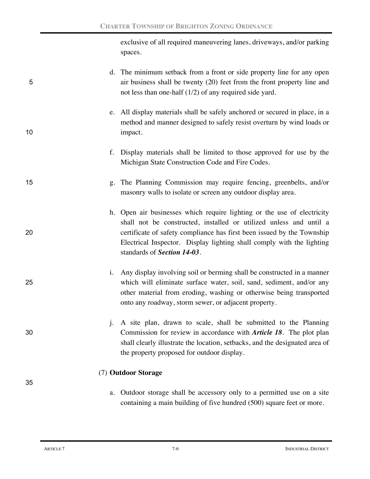exclusive of all required maneuvering lanes, driveways, and/or parking spaces.

|    | d. The minimum setback from a front or side property line for any open  |
|----|-------------------------------------------------------------------------|
| 5. | air business shall be twenty (20) feet from the front property line and |
|    | not less than one-half $(1/2)$ of any required side yard.               |

- e. All display materials shall be safely anchored or secured in place, in a method and manner designed to safely resist overturn by wind loads or 10 impact.
	- f. Display materials shall be limited to those approved for use by the Michigan State Construction Code and Fire Codes.
- 15 g. The Planning Commission may require fencing, greenbelts, and/or masonry walls to isolate or screen any outdoor display area.
- h. Open air businesses which require lighting or the use of electricity shall not be constructed, installed or utilized unless and until a 20 certificate of safety compliance has first been issued by the Township Electrical Inspector. Display lighting shall comply with the lighting standards of *Section 14-03*.
- i. Any display involving soil or berming shall be constructed in a manner 25 which will eliminate surface water, soil, sand, sediment, and/or any other material from eroding, washing or otherwise being transported onto any roadway, storm sewer, or adjacent property.
- j. A site plan, drawn to scale, shall be submitted to the Planning 30 Commission for review in accordance with *Article 18*. The plot plan shall clearly illustrate the location, setbacks, and the designated area of the property proposed for outdoor display.

## (7) **Outdoor Storage**

a. Outdoor storage shall be accessory only to a permitted use on a site containing a main building of five hundred (500) square feet or more.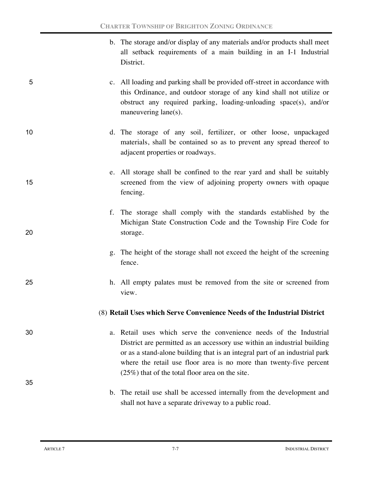- b. The storage and/or display of any materials and/or products shall meet all setback requirements of a main building in an I-1 Industrial District.
- 5 c. All loading and parking shall be provided off-street in accordance with this Ordinance, and outdoor storage of any kind shall not utilize or obstruct any required parking, loading-unloading space(s), and/or maneuvering lane(s).
- 10 d. The storage of any soil, fertilizer, or other loose, unpackaged materials, shall be contained so as to prevent any spread thereof to adjacent properties or roadways.
- e. All storage shall be confined to the rear yard and shall be suitably 15 screened from the view of adjoining property owners with opaque fencing.
- f. The storage shall comply with the standards established by the Michigan State Construction Code and the Township Fire Code for 20 storage.
	- g. The height of the storage shall not exceed the height of the screening fence.
- 25 h. All empty palates must be removed from the site or screened from view.

## (8) **Retail Uses which Serve Convenience Needs of the Industrial District**

30 a. Retail uses which serve the convenience needs of the Industrial District are permitted as an accessory use within an industrial building or as a stand-alone building that is an integral part of an industrial park where the retail use floor area is no more than twenty-five percent (25%) that of the total floor area on the site.

> b. The retail use shall be accessed internally from the development and shall not have a separate driveway to a public road.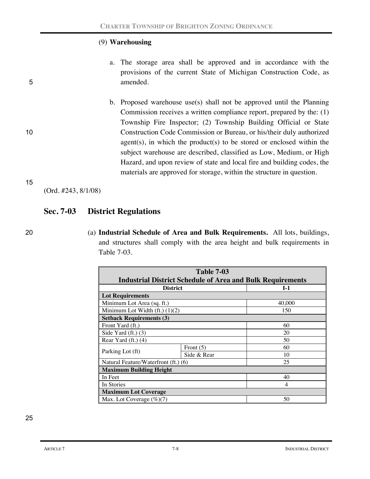## (9) **Warehousing**

- a. The storage area shall be approved and in accordance with the provisions of the current State of Michigan Construction Code, as 5 amended.
- b. Proposed warehouse use(s) shall not be approved until the Planning Commission receives a written compliance report, prepared by the: (1) Township Fire Inspector; (2) Township Building Official or State 10 Construction Code Commission or Bureau, or his/their duly authorized agent(s), in which the product(s) to be stored or enclosed within the subject warehouse are described, classified as Low, Medium, or High Hazard, and upon review of state and local fire and building codes, the materials are approved for storage, within the structure in question.

#### 15

(Ord. #243, 8/1/08)

## **Sec. 7-03 District Regulations**

- 
- 20 (a) **Industrial Schedule of Area and Bulk Requirements.** All lots, buildings, and structures shall comply with the area height and bulk requirements in Table 7-03.

| <b>Table 7-03</b>                                                 |             |                |
|-------------------------------------------------------------------|-------------|----------------|
| <b>Industrial District Schedule of Area and Bulk Requirements</b> |             |                |
| <b>District</b>                                                   |             | $I-1$          |
| <b>Lot Requirements</b>                                           |             |                |
| Minimum Lot Area (sq. ft.)                                        |             | 40,000         |
| Minimum Lot Width $(ft)$ $(1)(2)$                                 |             | 150            |
| <b>Setback Requirements (3)</b>                                   |             |                |
| Front Yard (ft.)                                                  |             | 60             |
| Side Yard $(ft.)$ $(3)$                                           |             | 20             |
| Rear Yard $(ft.)$ $(4)$                                           | 50          |                |
|                                                                   | Front $(5)$ | 60             |
| Parking Lot (ft)                                                  | Side & Rear | 10             |
| Natural Feature/Waterfront (ft.) (6)                              | 25          |                |
| <b>Maximum Building Height</b>                                    |             |                |
| In Feet                                                           |             | 40             |
| In Stories                                                        |             | $\overline{4}$ |
| <b>Maximum Lot Coverage</b>                                       |             |                |
| 50<br>Max. Lot Coverage $(\%)$ (7)                                |             |                |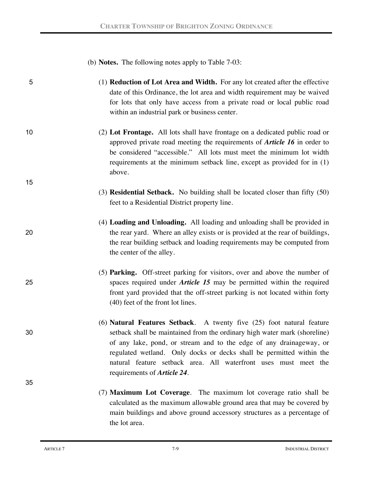|    | (b) <b>Notes.</b> The following notes apply to Table 7-03:                                                                                                                                                                                                                                                                                                                                                 |
|----|------------------------------------------------------------------------------------------------------------------------------------------------------------------------------------------------------------------------------------------------------------------------------------------------------------------------------------------------------------------------------------------------------------|
| 5  | (1) <b>Reduction of Lot Area and Width.</b> For any lot created after the effective<br>date of this Ordinance, the lot area and width requirement may be waived<br>for lots that only have access from a private road or local public road<br>within an industrial park or business center.                                                                                                                |
| 10 | (2) Lot Frontage. All lots shall have frontage on a dedicated public road or<br>approved private road meeting the requirements of <b>Article 16</b> in order to<br>be considered "accessible." All lots must meet the minimum lot width<br>requirements at the minimum setback line, except as provided for in (1)<br>above.                                                                               |
| 15 |                                                                                                                                                                                                                                                                                                                                                                                                            |
|    | (3) <b>Residential Setback.</b> No building shall be located closer than fifty (50)<br>feet to a Residential District property line.                                                                                                                                                                                                                                                                       |
| 20 | (4) Loading and Unloading. All loading and unloading shall be provided in<br>the rear yard. Where an alley exists or is provided at the rear of buildings,<br>the rear building setback and loading requirements may be computed from<br>the center of the alley.                                                                                                                                          |
| 25 | (5) Parking. Off-street parking for visitors, over and above the number of<br>spaces required under <i>Article 15</i> may be permitted within the required<br>front yard provided that the off-street parking is not located within forty<br>(40) feet of the front lot lines.                                                                                                                             |
| 30 | (6) Natural Features Setback. A twenty five (25) foot natural feature<br>setback shall be maintained from the ordinary high water mark (shoreline)<br>of any lake, pond, or stream and to the edge of any drainageway, or<br>regulated wetland. Only docks or decks shall be permitted within the<br>natural feature setback area. All waterfront uses must meet the<br>requirements of <i>Article</i> 24. |
| 35 | (7) Maximum Lot Coverage. The maximum lot coverage ratio shall be<br>calculated as the maximum allowable ground area that may be covered by<br>main buildings and above ground accessory structures as a percentage of<br>the lot area.                                                                                                                                                                    |